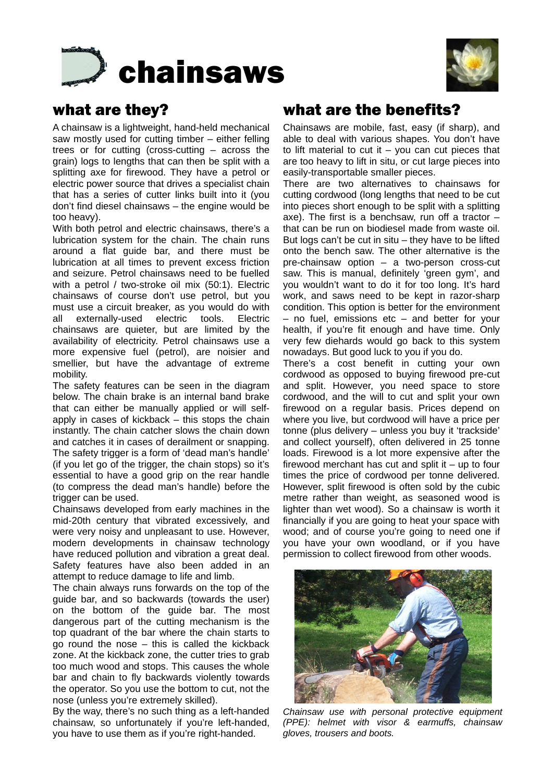



# what are they?

A chainsaw is a lightweight, hand-held mechanical saw mostly used for cutting timber – either felling trees or for cutting (cross-cutting – across the grain) logs to lengths that can then be split with a splitting axe for firewood. They have a petrol or electric power source that drives a specialist chain that has a series of cutter links built into it (you don't find diesel chainsaws – the engine would be too heavy).

With both petrol and electric chainsaws, there's a lubrication system for the chain. The chain runs around a flat guide bar, and there must be lubrication at all times to prevent excess friction and seizure. Petrol chainsaws need to be fuelled with a petrol / two-stroke oil mix (50:1). Electric chainsaws of course don't use petrol, but you must use a circuit breaker, as you would do with all externally-used electric tools. Electric chainsaws are quieter, but are limited by the availability of electricity. Petrol chainsaws use a more expensive fuel (petrol), are noisier and smellier, but have the advantage of extreme mobility.

The safety features can be seen in the diagram below. The chain brake is an internal band brake that can either be manually applied or will selfapply in cases of kickback – this stops the chain instantly. The chain catcher slows the chain down and catches it in cases of derailment or snapping. The safety trigger is a form of 'dead man's handle' (if you let go of the trigger, the chain stops) so it's essential to have a good grip on the rear handle (to compress the dead man's handle) before the trigger can be used.

Chainsaws developed from early machines in the mid-20th century that vibrated excessively, and were very noisy and unpleasant to use. However, modern developments in chainsaw technology have reduced pollution and vibration a great deal. Safety features have also been added in an attempt to reduce damage to life and limb.

The chain always runs forwards on the top of the guide bar, and so backwards (towards the user) on the bottom of the guide bar. The most dangerous part of the cutting mechanism is the top quadrant of the bar where the chain starts to go round the nose – this is called the kickback zone. At the kickback zone, the cutter tries to grab too much wood and stops. This causes the whole bar and chain to fly backwards violently towards the operator. So you use the bottom to cut, not the nose (unless you're extremely skilled).

By the way, there's no such thing as a left-handed chainsaw, so unfortunately if you're left-handed, you have to use them as if you're right-handed.

## what are the benefits?

Chainsaws are mobile, fast, easy (if sharp), and able to deal with various shapes. You don't have to lift material to cut it  $-$  you can cut pieces that are too heavy to lift in situ, or cut large pieces into easily-transportable smaller pieces.

There are two alternatives to chainsaws for cutting cordwood (long lengths that need to be cut into pieces short enough to be split with a splitting axe). The first is a benchsaw, run off a tractor – that can be run on biodiesel made from waste oil. But logs can't be cut in situ – they have to be lifted onto the bench saw. The other alternative is the pre-chainsaw option – a two-person cross-cut saw. This is manual, definitely 'green gym', and you wouldn't want to do it for too long. It's hard work, and saws need to be kept in razor-sharp condition. This option is better for the environment – no fuel, emissions etc – and better for your health, if you're fit enough and have time. Only very few diehards would go back to this system nowadays. But good luck to you if you do.

There's a cost benefit in cutting your own cordwood as opposed to buying firewood pre-cut and split. However, you need space to store cordwood, and the will to cut and split your own firewood on a regular basis. Prices depend on where you live, but cordwood will have a price per tonne (plus delivery – unless you buy it 'trackside' and collect yourself), often delivered in 25 tonne loads. Firewood is a lot more expensive after the firewood merchant has cut and split it  $-$  up to four times the price of cordwood per tonne delivered. However, split firewood is often sold by the cubic metre rather than weight, as seasoned wood is lighter than wet wood). So a chainsaw is worth it financially if you are going to heat your space with wood; and of course you're going to need one if you have your own woodland, or if you have permission to collect firewood from other woods.



*Chainsaw use with personal protective equipment (PPE): helmet with visor & earmuffs, chainsaw gloves, trousers and boots.*